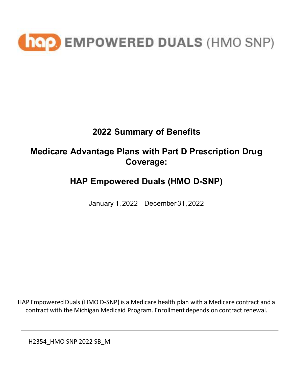

# **2022 Summary of Benefits**

## **Medicare Advantage Plans with Part D Prescription Drug Coverage:**

# **HAP Empowered Duals (HMO D-SNP)**

January 1, 2022 – December 31, 2022

HAP Empowered Duals (HMO D-SNP) is a Medicare health plan with a Medicare contract and a contract with the Michigan Medicaid Program. Enrollment depends on contract renewal.

H2354\_HMO SNP 2022 SB\_M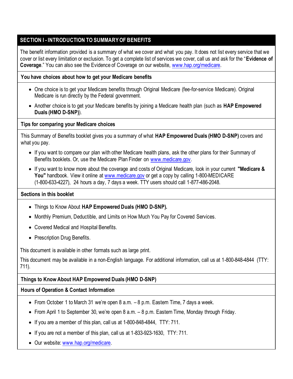### **SECTION I - INTRODUCTION TO SUMMARY OF BENEFITS**

The benefit information provided is a summary of what we cover and what you pay. It does not list every service that we cover or list every limitation or exclusion. To get a complete list of services we cover, call us and ask for the "**Evidence of Coverage**." You can also see the Evidence of Coverage on our website, [www.hap.org/medicare.](http://www.hap.org/medicare)

#### **You have choices about how to get your Medicare benefits**

- One choice is to get your Medicare benefits through Original Medicare (fee-for-service Medicare). Original Medicare is run directly by the Federal government.
- Another choice is to get your Medicare benefits by joining a Medicare health plan (such as **HAP Empowered Duals (HMO D-SNP)**).

#### **Tips for comparing your Medicare choices**

This Summary of Benefits booklet gives you a summary of what **HAP Empowered Duals (HMO D-SNP)** covers and what you pay.

- If you want to compare our plan with other Medicare health plans, ask the other plans for their Summary of Benefits booklets. Or, use the Medicare Plan Finder on [www.medicare.gov.](https://www.medicare.gov/)
- If you want to know more about the coverage and costs of Original Medicare, look in your current **"Medicare & You"** handbook. View it online at [www.medicare.gov](https://www.medicare.gov/) or get a copy by calling 1-800-MEDICARE (1-800-633-4227), 24 hours a day, 7 days a week. TTY users should call 1-877-486-2048.

#### **Sections in this booklet**

- Things to Know About **HAP Empowered Duals (HMO D-SNP).**
- Monthly Premium, Deductible, and Limits on How Much You Pay for Covered Services.
- Covered Medical and Hospital Benefits.
- Prescription Drug Benefits.

This document is available in other formats such as large print.

This document may be available in a non-English language. For additional information, call us at 1-800-848-4844 (TTY: 711).

### **Things to Know About HAP Empowered Duals (HMO D-SNP)**

#### **Hours of Operation & Contact Information**

- From October 1 to March 31 we're open 8 a.m. 8 p.m. Eastern Time, 7 days a week.
- From April 1 to September 30, we're open 8 a.m. 8 p.m. Eastern Time, Monday through Friday.
- If you are a member of this plan, call us at 1-800-848-4844, TTY: 711.
- If you are not a member of this plan, call us at 1-833-923-1630, TTY: 711.
- Our website[: www.hap.org/medicare.](http://www.hap.org/medicare)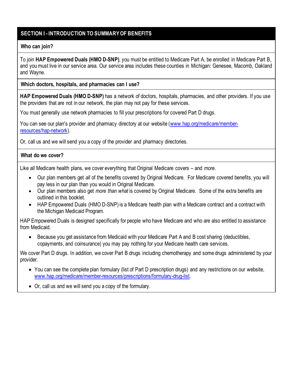### **SECTION I - INTRODUCTION TO SUMMARY OF BENEFITS**

#### **Who can join?**

To join **HAP Empowered Duals (HMO D-SNP)**, you must be entitled to Medicare Part A, be enrolled in Medicare Part B, and you must live in our service area. Our service area includes these counties in Michigan: Genesee, Macomb, Oakland and Wayne.

#### **Which doctors, hospitals, and pharmacies can I use?**

**HAP Empowered Duals (HMO D-SNP)** has a network of doctors, hospitals, pharmacies, and other providers. If you use the providers that are not in our network, the plan may not pay for these services.

You must generally use network pharmacies to fill your prescriptions for covered Part D drugs.

You can see our plan's provider and pharmacy directory at our website [\(www.hap.org/medicare/](http://www.hap.org/medicare)memberresources/hap-network).

Or, call us and we will send you a copy of the provider and pharmacy directories.

#### **What do we cover?**

Like all Medicare health plans, we cover everything that Original Medicare covers – and *more*.

- Our plan members get *all* of the benefits covered by Original Medicare. For Medicare covered benefits, you will pay less in our plan than you would in Original Medicare.
- Our plan members also get *more than what* is covered by Original Medicare. Some of the extra benefits are outlined in this booklet.
- HAP Empowered Duals (HMO D-SNP) is a Medicare health plan with a Medicare contract and a contract with the Michigan Medicaid Program.

HAP Empowered Duals is designed specifically for people who have Medicare and who are also entitled to assistance from Medicaid.

• Because you get assistance from Medicaid with your Medicare Part A and B cost sharing (deductibles, copayments, and coinsurance) you may pay nothing for your Medicare health care services.

We cover Part D drugs. In addition, we cover Part B drugs including chemotherapy and some drugs administered by your provider.

- You can see the complete plan formulary (list of Part D prescription drugs) and any restrictions on our website, [www.hap.org/medicare/](http://www.hap.org/medicare)member-resources/prescriptions/formulary-drug-list.
- Or, call us and we will send you a copy of the formulary.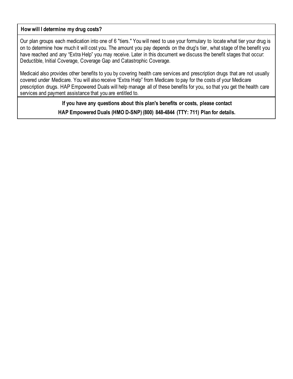#### **How will I determine my drug costs?**

Our plan groups each medication into one of 6 "tiers." You will need to use your formulary to locate what tier your drug is on to determine how much it will cost you. The amount you pay depends on the drug's tier, what stage of the benefit you have reached and any "Extra Help" you may receive. Later in this document we discuss the benefit stages that occur: Deductible, Initial Coverage, Coverage Gap and Catastrophic Coverage.

Medicaid also provides other benefits to you by covering health care services and prescription drugs that are not usually covered under Medicare. You will also receive "Extra Help" from Medicare to pay for the costs of your Medicare prescription drugs. HAP Empowered Duals will help manage all of these benefits for you, so that you get the health care services and payment assistance that you are entitled to.

> **If you have any questions about this plan's benefits or costs, please contact HAP Empowered Duals (HMO D-SNP) (800) 848-4844 (TTY: 711) Plan for details.**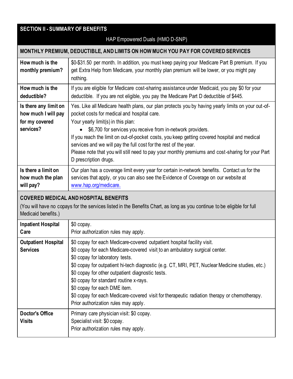### **SECTION II - SUMMARY OF BENEFITS**

#### HAP Empowered Duals (HMO D-SNP) **MONTHLY PREMIUM, DEDUCTIBLE, AND LIMITS ON HOW MUCH YOU PAY FOR COVERED SERVICES How much is the monthly premium?** \$0-\$31.50 per month. In addition, you must keep paying your Medicare Part B premium. If you get Extra Help from Medicare, your monthly plan premium will be lower, or you might pay nothing. **How much is the deductible?** If you are eligible for Medicare cost-sharing assistance under Medicaid, you pay \$0 for your deductible. If you are not eligible, you pay the Medicare Part D deductible of \$445. **Is there any limit on how much I will pay for my covered services?** Yes. Like all Medicare health plans, our plan protects you by having yearly limits on your out-ofpocket costs for medical and hospital care. Your yearly limit(s) in this plan: • \$6,700 for services you receive from in-network providers. If you reach the limit on out-of-pocket costs, you keep getting covered hospital and medical services and we will pay the full cost for the rest of the year. Please note that you will still need to pay your monthly premiums and cost-sharing for your Part D prescription drugs. **Is there a limit on how much the plan will pay?** Our plan has a coverage limit every year for certain in-network benefits. Contact us for the services that apply, or you can also see the Evidence of Coverage on our website at [www.hap.org/medicare.](http://www.hap.org/medicare) **COVERED MEDICAL AND HOSPITAL BENEFITS**

(You will have no copays for the services listed in the Benefits Chart, as long as you continue to be eligible for full Medicaid benefits.)

| <b>Inpatient Hospital</b><br>Care             | \$0 copay.<br>Prior authorization rules may apply.                                                                                                                                                                                                                                                                                                                                                                                                                                                                                                                 |
|-----------------------------------------------|--------------------------------------------------------------------------------------------------------------------------------------------------------------------------------------------------------------------------------------------------------------------------------------------------------------------------------------------------------------------------------------------------------------------------------------------------------------------------------------------------------------------------------------------------------------------|
| <b>Outpatient Hospital</b><br><b>Services</b> | \$0 copay for each Medicare-covered outpatient hospital facility visit.<br>\$0 copay for each Medicare-covered visit to an ambulatory surgical center.<br>\$0 copay for laboratory tests.<br>\$0 copay for outpatient hi-tech diagnostic (e.g. CT, MRI, PET, Nuclear Medicine studies, etc.)<br>\$0 copay for other outpatient diagnostic tests.<br>\$0 copay for standard routine x-rays.<br>\$0 copay for each DME item.<br>\$0 copay for each Medicare-covered visit for therapeutic radiation therapy or chemotherapy.<br>Prior authorization rules may apply. |
| <b>Doctor's Office</b><br><b>Visits</b>       | Primary care physician visit: \$0 copay.<br>Specialist visit: \$0 copay.<br>Prior authorization rules may apply.                                                                                                                                                                                                                                                                                                                                                                                                                                                   |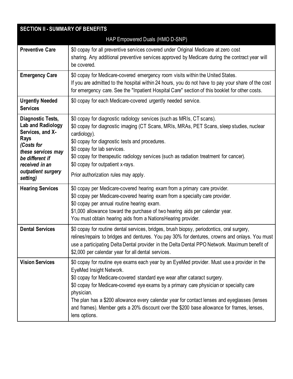| <b>SECTION II - SUMMARY OF BENEFITS</b>                                                                                                                                       |                                                                                                                                                                                                                                                                                                                                                                                                                                                                                                                          |  |  |
|-------------------------------------------------------------------------------------------------------------------------------------------------------------------------------|--------------------------------------------------------------------------------------------------------------------------------------------------------------------------------------------------------------------------------------------------------------------------------------------------------------------------------------------------------------------------------------------------------------------------------------------------------------------------------------------------------------------------|--|--|
| HAP Empowered Duals (HMO D-SNP)                                                                                                                                               |                                                                                                                                                                                                                                                                                                                                                                                                                                                                                                                          |  |  |
| <b>Preventive Care</b>                                                                                                                                                        | \$0 copay for all preventive services covered under Original Medicare at zero cost<br>sharing. Any additional preventive services approved by Medicare during the contract year will<br>be covered.                                                                                                                                                                                                                                                                                                                      |  |  |
| <b>Emergency Care</b>                                                                                                                                                         | \$0 copay for Medicare-covered emergency room visits within the United States.<br>If you are admitted to the hospital within 24 hours, you do not have to pay your share of the cost<br>for emergency care. See the "Inpatient Hospital Care" section of this booklet for other costs.                                                                                                                                                                                                                                   |  |  |
| <b>Urgently Needed</b><br><b>Services</b>                                                                                                                                     | \$0 copay for each Medicare-covered urgently needed service.                                                                                                                                                                                                                                                                                                                                                                                                                                                             |  |  |
| Diagnostic Tests,<br>Lab and Radiology<br>Services, and X-<br>Rays<br>(Costs for<br>these services may<br>be different if<br>received in an<br>outpatient surgery<br>setting) | \$0 copay for diagnostic radiology services (such as MRIs, CT scans).<br>\$0 copay for diagnostic imaging (CT Scans, MRIs, MRAs, PET Scans, sleep studies, nuclear<br>cardiology).<br>\$0 copay for diagnostic tests and procedures.<br>\$0 copay for lab services.<br>\$0 copay for therapeutic radiology services (such as radiation treatment for cancer).<br>\$0 copay for outpatient x-rays.<br>Prior authorization rules may apply.                                                                                |  |  |
| <b>Hearing Services</b>                                                                                                                                                       | \$0 copay per Medicare-covered hearing exam from a primary care provider.<br>\$0 copay per Medicare-covered hearing exam from a specialty care provider.<br>\$0 copay per annual routine hearing exam.<br>\$1,000 allowance toward the purchase of two hearing aids per calendar year.<br>You must obtain hearing aids from a NationsHearing provider.                                                                                                                                                                   |  |  |
| <b>Dental Services</b>                                                                                                                                                        | \$0 copay for routine dental services, bridges, brush biopsy, periodontics, oral surgery,<br>relines/repairs to bridges and dentures. You pay 30% for dentures, crowns and onlays. You must<br>use a participating Delta Dental provider in the Delta Dental PPO Network. Maximum benefit of<br>\$2,000 per calendar year for all dental services.                                                                                                                                                                       |  |  |
| <b>Vision Services</b>                                                                                                                                                        | \$0 copay for routine eye exams each year by an EyeMed provider. Must use a provider in the<br>EyeMed Insight Network.<br>\$0 copay for Medicare-covered standard eye wear after cataract surgery.<br>\$0 copay for Medicare-covered eye exams by a primary care physician or specialty care<br>physician.<br>The plan has a \$200 allowance every calendar year for contact lenses and eyeglasses (lenses<br>and frames). Member gets a 20% discount over the \$200 base allowance for frames, lenses,<br>lens options. |  |  |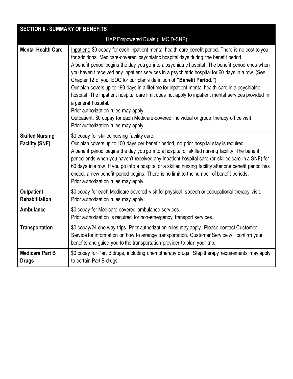| <b>SECTION II - SUMMARY OF BENEFITS</b>         |                                                                                                                                                                                                                                                                                                                                                                                                                                                                                                                                                                                                                                                                                                                                                                                                                                                                                           |  |  |
|-------------------------------------------------|-------------------------------------------------------------------------------------------------------------------------------------------------------------------------------------------------------------------------------------------------------------------------------------------------------------------------------------------------------------------------------------------------------------------------------------------------------------------------------------------------------------------------------------------------------------------------------------------------------------------------------------------------------------------------------------------------------------------------------------------------------------------------------------------------------------------------------------------------------------------------------------------|--|--|
| HAP Empowered Duals (HMO D-SNP)                 |                                                                                                                                                                                                                                                                                                                                                                                                                                                                                                                                                                                                                                                                                                                                                                                                                                                                                           |  |  |
| <b>Mental Health Care</b>                       | Inpatient: \$0 copay for each inpatient mental health care benefit period. There is no cost to you<br>for additional Medicare-covered psychiatric hospital days during the benefit period.<br>A benefit period begins the day you go into a psychiatric hospital. The benefit period ends when<br>you haven't received any inpatient services in a psychiatric hospital for 60 days in a row. (See<br>Chapter 12 of your EOC for our plan's definition of "Benefit Period.")<br>Our plan covers up to 190 days in a lifetime for inpatient mental health care in a psychiatric<br>hospital. The inpatient hospital care limit does not apply to inpatient mental services provided in<br>a general hospital.<br>Prior authorization rules may apply.<br>Outpatient: \$0 copay for each Medicare-covered individual or group therapy office visit.<br>Prior authorization rules may apply. |  |  |
| <b>Skilled Nursing</b><br><b>Facility (SNF)</b> | \$0 copay for skilled nursing facility care.<br>Our plan covers up to 100 days per benefit period, no prior hospital stay is required.<br>A benefit period begins the day you go into a hospital or skilled nursing facility. The benefit<br>period ends when you haven't received any inpatient hospital care (or skilled care in a SNF) for<br>60 days in a row. If you go into a hospital or a skilled nursing facility after one benefit period has<br>ended, a new benefit period begins. There is no limit to the number of benefit periods.<br>Prior authorization rules may apply.                                                                                                                                                                                                                                                                                                |  |  |
| <b>Outpatient</b><br>Rehabilitation             | \$0 copay for each Medicare-covered visit for physical, speech or occupational therapy visit.<br>Prior authorization rules may apply.                                                                                                                                                                                                                                                                                                                                                                                                                                                                                                                                                                                                                                                                                                                                                     |  |  |
| <b>Ambulance</b>                                | \$0 copay for Medicare-covered ambulance services.<br>Prior authorization is required for non-emergency transport services.                                                                                                                                                                                                                                                                                                                                                                                                                                                                                                                                                                                                                                                                                                                                                               |  |  |
| Transportation                                  | \$0 copay/24 one-way trips. Prior authorization rules may apply. Please contact Customer<br>Service for information on how to arrange transportation. Customer Service will confirm your<br>benefits and guide you to the transportation provider to plan your trip.                                                                                                                                                                                                                                                                                                                                                                                                                                                                                                                                                                                                                      |  |  |
| <b>Medicare Part B</b><br><b>Drugs</b>          | \$0 copay for Part B drugs, including chemotherapy drugs. Step therapy requirements may apply<br>to certain Part B drugs                                                                                                                                                                                                                                                                                                                                                                                                                                                                                                                                                                                                                                                                                                                                                                  |  |  |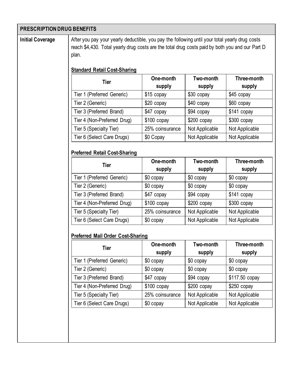| <b>PRESCRIPTION DRUG BENEFITS</b> |                                                                                                                                                                                                            |                     |                     |                       |  |
|-----------------------------------|------------------------------------------------------------------------------------------------------------------------------------------------------------------------------------------------------------|---------------------|---------------------|-----------------------|--|
| <b>Initial Coverage</b>           | After you pay your yearly deductible, you pay the following until your total yearly drug costs<br>reach \$4,430. Total yearly drug costs are the total drug costs paid by both you and our Part D<br>plan. |                     |                     |                       |  |
|                                   | <b>Standard Retail Cost-Sharing</b>                                                                                                                                                                        |                     |                     |                       |  |
|                                   | <b>Tier</b>                                                                                                                                                                                                | One-month<br>supply | Two-month<br>supply | Three-month<br>supply |  |
|                                   | Tier 1 (Preferred Generic)                                                                                                                                                                                 | \$15 copay          | \$30 copay          | \$45 copay            |  |
|                                   | Tier 2 (Generic)                                                                                                                                                                                           | \$20 copay          | \$40 copay          | \$60 copay            |  |
|                                   | Tier 3 (Preferred Brand)                                                                                                                                                                                   | \$47 copay          | \$94 copay          | \$141 copay           |  |
|                                   | Tier 4 (Non-Preferred Drug)                                                                                                                                                                                | \$100 copay         | \$200 copay         | \$300 copay           |  |
|                                   | Tier 5 (Specialty Tier)                                                                                                                                                                                    | 25% coinsurance     | Not Applicable      | Not Applicable        |  |
|                                   | Tier 6 (Select Care Drugs)                                                                                                                                                                                 | \$0 Copay           | Not Applicable      | Not Applicable        |  |
|                                   | <b>Preferred Retail Cost-Sharing</b>                                                                                                                                                                       |                     |                     |                       |  |
|                                   | <b>Tier</b>                                                                                                                                                                                                | One-month<br>supply | Two-month<br>supply | Three-month<br>supply |  |
|                                   | Tier 1 (Preferred Generic)                                                                                                                                                                                 | \$0 copay           | \$0 copay           | \$0 copay             |  |
|                                   | Tier 2 (Generic)                                                                                                                                                                                           | \$0 copay           | \$0 copay           | \$0 copay             |  |
|                                   | Tier 3 (Preferred Brand)                                                                                                                                                                                   | \$47 copay          | \$94 copay          | \$141 copay           |  |
|                                   | Tier 4 (Non-Preferred Drug)                                                                                                                                                                                | $$100$ copay        | \$200 copay         | $$300$ copay          |  |
|                                   | Tier 5 (Specialty Tier)                                                                                                                                                                                    | 25% coinsurance     | Not Applicable      | Not Applicable        |  |
|                                   | Tier 6 (Select Care Drugs)                                                                                                                                                                                 | \$0 copay           | Not Applicable      | Not Applicable        |  |
|                                   | <b>Preferred Mail Order Cost-Sharing</b>                                                                                                                                                                   |                     |                     |                       |  |
|                                   | <b>Tier</b>                                                                                                                                                                                                | One-month           | Two-month           | Three-month           |  |
|                                   |                                                                                                                                                                                                            | supply              | supply              | supply                |  |
|                                   | Tier 1 (Preferred Generic)                                                                                                                                                                                 | \$0 copay           | \$0 copay           | \$0 copay             |  |
|                                   | Tier 2 (Generic)                                                                                                                                                                                           | \$0 copay           | \$0 copay           | \$0 copay             |  |
|                                   | Tier 3 (Preferred Brand)                                                                                                                                                                                   | \$47 copay          | \$94 copay          | \$117.50 copay        |  |
|                                   | Tier 4 (Non-Preferred Drug)                                                                                                                                                                                | \$100 copay         | \$200 copay         | $$250$ copay          |  |
|                                   | Tier 5 (Specialty Tier)                                                                                                                                                                                    | 25% coinsurance     | Not Applicable      | Not Applicable        |  |
|                                   | Tier 6 (Select Care Drugs)                                                                                                                                                                                 | \$0 copay           | Not Applicable      | Not Applicable        |  |
|                                   |                                                                                                                                                                                                            |                     |                     |                       |  |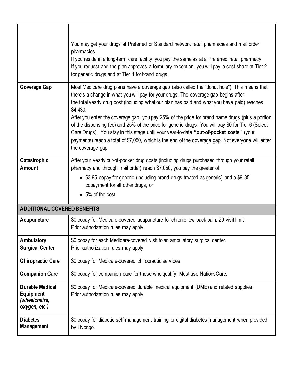|                                                                              | You may get your drugs at Preferred or Standard network retail pharmacies and mail order<br>pharmacies.<br>If you reside in a long-term care facility, you pay the same as at a Preferred retail pharmacy.<br>If you request and the plan approves a formulary exception, you will pay a cost-share at Tier 2<br>for generic drugs and at Tier 4 for brand drugs.                                                                                                                                                                                                                                                                                                                                                             |
|------------------------------------------------------------------------------|-------------------------------------------------------------------------------------------------------------------------------------------------------------------------------------------------------------------------------------------------------------------------------------------------------------------------------------------------------------------------------------------------------------------------------------------------------------------------------------------------------------------------------------------------------------------------------------------------------------------------------------------------------------------------------------------------------------------------------|
| <b>Coverage Gap</b>                                                          | Most Medicare drug plans have a coverage gap (also called the "donut hole"). This means that<br>there's a change in what you will pay for your drugs. The coverage gap begins after<br>the total yearly drug cost (including what our plan has paid and what you have paid) reaches<br>\$4,430.<br>After you enter the coverage gap, you pay 25% of the price for brand name drugs (plus a portion<br>of the dispensing fee) and 25% of the price for generic drugs. You will pay \$0 for Tier 6 (Select<br>Care Drugs). You stay in this stage until your year-to-date "out-of-pocket costs" (your<br>payments) reach a total of \$7,050, which is the end of the coverage gap. Not everyone will enter<br>the coverage gap. |
| Catastrophic<br><b>Amount</b>                                                | After your yearly out-of-pocket drug costs (including drugs purchased through your retail<br>pharmacy and through mail order) reach \$7,050, you pay the greater of:                                                                                                                                                                                                                                                                                                                                                                                                                                                                                                                                                          |
|                                                                              | • \$3.95 copay for generic (including brand drugs treated as generic) and a \$9.85<br>copayment for all other drugs, or<br>• 5% of the cost.                                                                                                                                                                                                                                                                                                                                                                                                                                                                                                                                                                                  |
| <b>ADDITIONAL COVERED BENEFITS</b>                                           |                                                                                                                                                                                                                                                                                                                                                                                                                                                                                                                                                                                                                                                                                                                               |
| Acupuncture                                                                  | \$0 copay for Medicare-covered acupuncture for chronic low back pain, 20 visit limit.<br>Prior authorization rules may apply.                                                                                                                                                                                                                                                                                                                                                                                                                                                                                                                                                                                                 |
| Ambulatory<br><b>Surgical Center</b>                                         | \$0 copay for each Medicare-covered visit to an ambulatory surgical center.<br>Prior authorization rules may apply.                                                                                                                                                                                                                                                                                                                                                                                                                                                                                                                                                                                                           |
| <b>Chiropractic Care</b>                                                     | \$0 copay for Medicare-covered chiropractic services.                                                                                                                                                                                                                                                                                                                                                                                                                                                                                                                                                                                                                                                                         |
| <b>Companion Care</b>                                                        | \$0 copay for companion care for those who qualify. Must use NationsCare.                                                                                                                                                                                                                                                                                                                                                                                                                                                                                                                                                                                                                                                     |
| <b>Durable Medical</b><br><b>Equipment</b><br>(wheelchairs,<br>oxygen, etc.) | \$0 copay for Medicare-covered durable medical equipment (DME) and related supplies.<br>Prior authorization rules may apply.                                                                                                                                                                                                                                                                                                                                                                                                                                                                                                                                                                                                  |
| <b>Diabetes</b><br><b>Management</b>                                         | \$0 copay for diabetic self-management training or digital diabetes management when provided<br>by Livongo.                                                                                                                                                                                                                                                                                                                                                                                                                                                                                                                                                                                                                   |